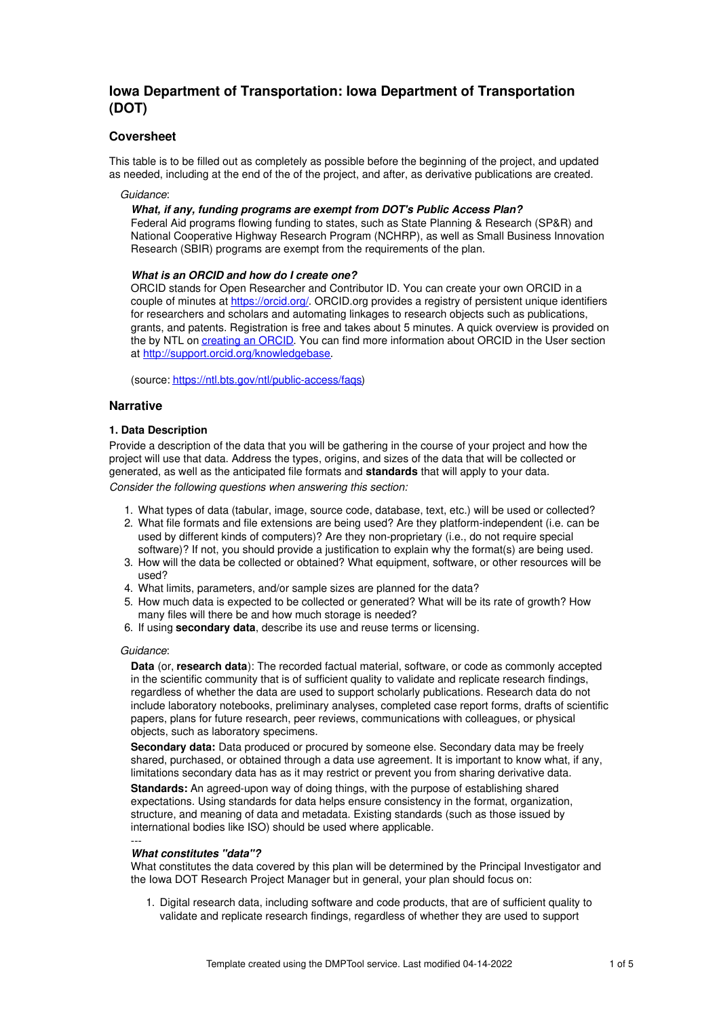# **Iowa Department of Transportation: Iowa Department of Transportation (DOT)**

# **Coversheet**

This table is to be filled out as completely as possible before the beginning of the project, and updated as needed, including at the end of the of the project, and after, as derivative publications are created.

#### *Guidance*:

### *What, if any, funding programs are exempt from DOT's Public Access Plan?*

Federal Aid programs flowing funding to states, such as State Planning & Research (SP&R) and National Cooperative Highway Research Program (NCHRP), as well as Small Business Innovation Research (SBIR) programs are exempt from the requirements of the plan.

### *What is an ORCID and how do I create one?*

ORCID stands for Open Researcher and Contributor ID. You can create your own ORCID in a couple of minutes at <https://orcid.org/>. ORCID.org provides a registry of persistent unique identifiers for researchers and scholars and automating linkages to research objects such as publications, grants, and patents. Registration is free and takes about 5 minutes. A quick overview is provided on the by NTL on [creating](https://ntl.bts.gov/public-access/orcid-faqs) an ORCID. You can find more information about ORCID in the User section at <http://support.orcid.org/knowledgebase>.

(source: <https://ntl.bts.gov/ntl/public-access/faqs>)

### **Narrative**

### **1. Data Description**

Provide a description of the data that you will be gathering in the course of your project and how the project will use that data. Address the types, origins, and sizes of the data that will be collected or generated, as well as the anticipated file formats and **standards** that will apply to your data. *Consider the following questions when answering this section:*

- 1. What types of data (tabular, image, source code, database, text, etc.) will be used or collected?
- 2. What file formats and file extensions are being used? Are they platform-independent (i.e. can be used by different kinds of computers)? Are they non-proprietary (i.e., do not require special software)? If not, you should provide a justification to explain why the format(s) are being used.
- 3. How will the data be collected or obtained? What equipment, software, or other resources will be used?
- 4. What limits, parameters, and/or sample sizes are planned for the data?
- 5. How much data is expected to be collected or generated? What will be its rate of growth? How many files will there be and how much storage is needed?
- 6. If using **secondary data**, describe its use and reuse terms or licensing.

### *Guidance*:

**Data** (or, **research data**): The recorded factual material, software, or code as commonly accepted in the scientific community that is of sufficient quality to validate and replicate research findings, regardless of whether the data are used to support scholarly publications. Research data do not include laboratory notebooks, preliminary analyses, completed case report forms, drafts of scientific papers, plans for future research, peer reviews, communications with colleagues, or physical objects, such as laboratory specimens.

**Secondary data:** Data produced or procured by someone else. Secondary data may be freely shared, purchased, or obtained through a data use agreement. It is important to know what, if any, limitations secondary data has as it may restrict or prevent you from sharing derivative data.

**Standards:** An agreed-upon way of doing things, with the purpose of establishing shared expectations. Using standards for data helps ensure consistency in the format, organization, structure, and meaning of data and metadata. Existing standards (such as those issued by international bodies like ISO) should be used where applicable.

#### --- *What constitutes "data"?*

What constitutes the data covered by this plan will be determined by the Principal Investigator and the Iowa DOT Research Project Manager but in general, your plan should focus on:

1. Digital research data, including software and code products, that are of sufficient quality to validate and replicate research findings, regardless of whether they are used to support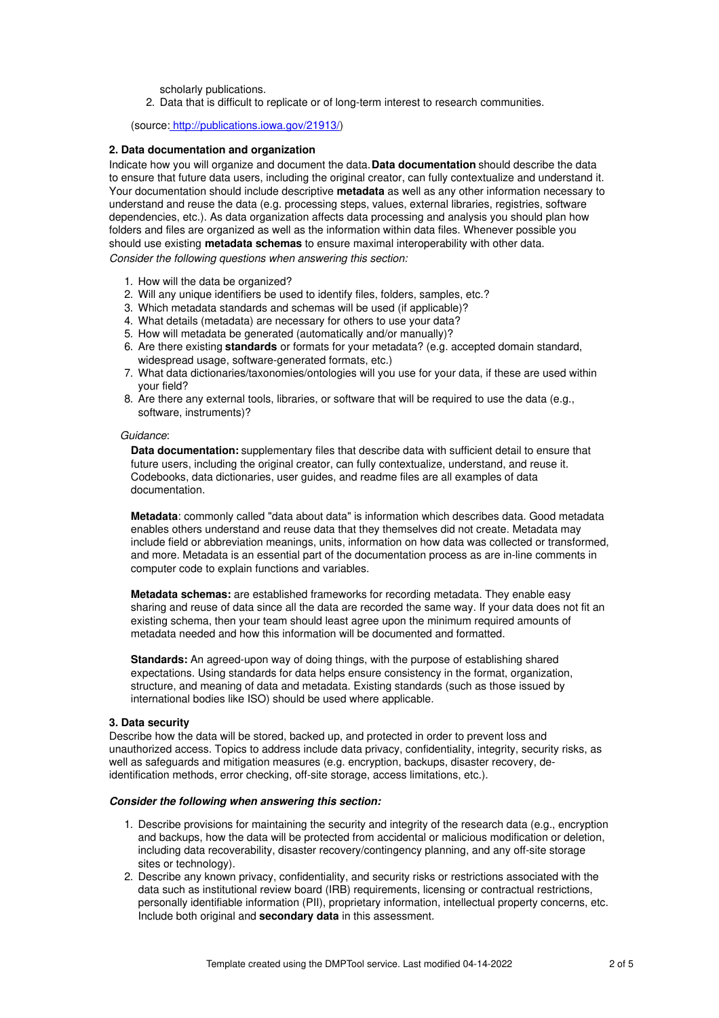scholarly publications.

2. Data that is difficult to replicate or of long-term interest to research communities.

### (source: <http://publications.iowa.gov/21913/>)

#### **2. Data documentation and organization**

Indicate how you will organize and document the data.**Data documentation** should describe the data to ensure that future data users, including the original creator, can fully contextualize and understand it. Your documentation should include descriptive **metadata** as well as any other information necessary to understand and reuse the data (e.g. processing steps, values, external libraries, registries, software dependencies, etc.). As data organization affects data processing and analysis you should plan how folders and files are organized as well as the information within data files. Whenever possible you should use existing **metadata schemas** to ensure maximal interoperability with other data. *Consider the following questions when answering this section:*

- 1. How will the data be organized?
- 2. Will any unique identifiers be used to identify files, folders, samples, etc.?
- 3. Which metadata standards and schemas will be used (if applicable)?
- 4. What details (metadata) are necessary for others to use your data?
- 5. How will metadata be generated (automatically and/or manually)?
- 6. Are there existing **standards** or formats for your metadata? (e.g. accepted domain standard, widespread usage, software-generated formats, etc.)
- 7. What data dictionaries/taxonomies/ontologies will you use for your data, if these are used within your field?
- 8. Are there any external tools, libraries, or software that will be required to use the data (e.g., software, instruments)?

#### *Guidance*:

**Data documentation:** supplementary files that describe data with sufficient detail to ensure that future users, including the original creator, can fully contextualize, understand, and reuse it. Codebooks, data dictionaries, user guides, and readme files are all examples of data documentation.

**Metadata**: commonly called "data about data" is information which describes data. Good metadata enables others understand and reuse data that they themselves did not create. Metadata may include field or abbreviation meanings, units, information on how data was collected or transformed, and more. Metadata is an essential part of the documentation process as are in-line comments in computer code to explain functions and variables.

**Metadata schemas:** are established frameworks for recording metadata. They enable easy sharing and reuse of data since all the data are recorded the same way. If your data does not fit an existing schema, then your team should least agree upon the minimum required amounts of metadata needed and how this information will be documented and formatted.

**Standards:** An agreed-upon way of doing things, with the purpose of establishing shared expectations. Using standards for data helps ensure consistency in the format, organization, structure, and meaning of data and metadata. Existing standards (such as those issued by international bodies like ISO) should be used where applicable.

#### **3. Data security**

Describe how the data will be stored, backed up, and protected in order to prevent loss and unauthorized access. Topics to address include data privacy, confidentiality, integrity, security risks, as well as safeguards and mitigation measures (e.g. encryption, backups, disaster recovery, deidentification methods, error checking, off-site storage, access limitations, etc.).

### *Consider the following when answering this section:*

- 1. Describe provisions for maintaining the security and integrity of the research data (e.g., encryption and backups, how the data will be protected from accidental or malicious modification or deletion, including data recoverability, disaster recovery/contingency planning, and any off-site storage sites or technology).
- 2. Describe any known privacy, confidentiality, and security risks or restrictions associated with the data such as institutional review board (IRB) requirements, licensing or contractual restrictions, personally identifiable information (PII), proprietary information, intellectual property concerns, etc. Include both original and **secondary data** in this assessment.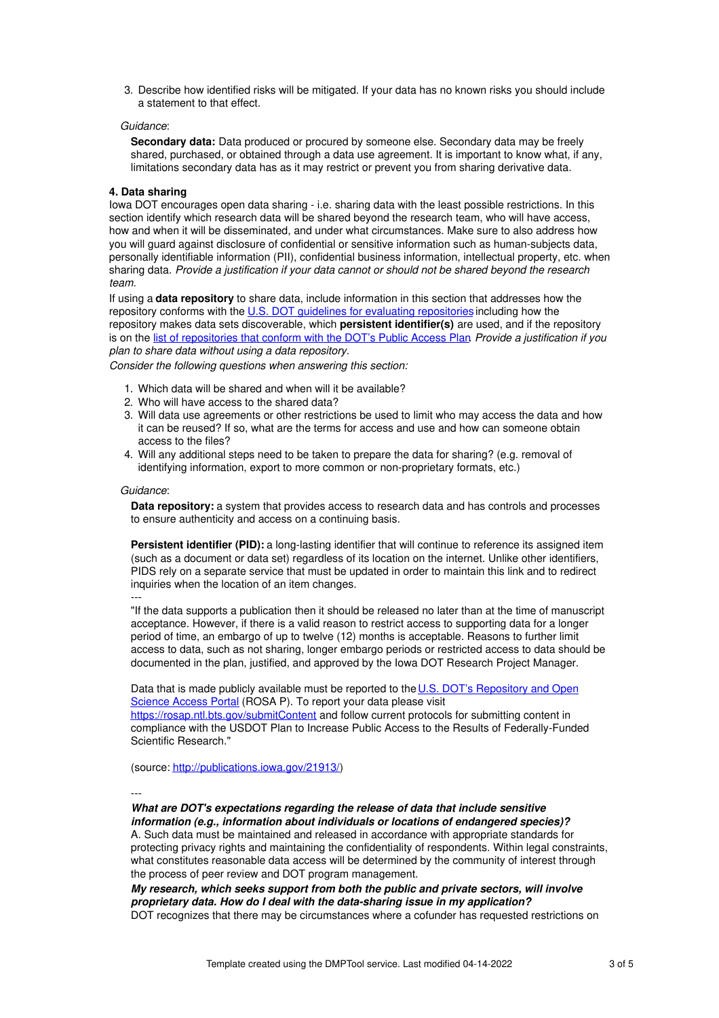3. Describe how identified risks will be mitigated. If your data has no known risks you should include a statement to that effect.

# *Guidance*:

**Secondary data:** Data produced or procured by someone else. Secondary data may be freely shared, purchased, or obtained through a data use agreement. It is important to know what, if any, limitations secondary data has as it may restrict or prevent you from sharing derivative data.

### **4. Data sharing**

Iowa DOT encourages open data sharing - i.e. sharing data with the least possible restrictions. In this section identify which research data will be shared beyond the research team, who will have access, how and when it will be disseminated, and under what circumstances. Make sure to also address how you will guard against disclosure of confidential or sensitive information such as human-subjects data, personally identifiable information (PII), confidential business information, intellectual property, etc. when sharing data. *Provide a justification if your data cannot or should not be shared beyond the research team.*

If using a **data repository** to share data, include information in this section that addresses how the repository conforms with the U.S. DOT guidelines for evaluating [repositories](https://doi.org/10.21949/1520563) including how the repository makes data sets discoverable, which **persistent identifier(s)** are used, and if the repository is on the list of [repositories](https://doi.org/10.21949/1520566) that conform with the DOT's Public Access Plan. *Provide a justification if you plan to share data without using a data repository.*

*Consider the following questions when answering this section:*

- 1. Which data will be shared and when will it be available?
- 2. Who will have access to the shared data?
- 3. Will data use agreements or other restrictions be used to limit who may access the data and how it can be reused? If so, what are the terms for access and use and how can someone obtain access to the files?
- 4. Will any additional steps need to be taken to prepare the data for sharing? (e.g. removal of identifying information, export to more common or non-proprietary formats, etc.)

### *Guidance*:

**Data repository:** a system that provides access to research data and has controls and processes to ensure authenticity and access on a continuing basis.

**Persistent identifier (PID):** a long-lasting identifier that will continue to reference its assigned item (such as a document or data set) regardless of its location on the internet. Unlike other identifiers, PIDS rely on a separate service that must be updated in order to maintain this link and to redirect inquiries when the location of an item changes.

---

"If the data supports a publication then it should be released no later than at the time of manuscript acceptance. However, if there is a valid reason to restrict access to supporting data for a longer period of time, an embargo of up to twelve (12) months is acceptable. Reasons to further limit access to data, such as not sharing, longer embargo periods or restricted access to data should be documented in the plan, justified, and approved by the Iowa DOT Research Project Manager.

Data that is made publicly available must be reported to the U.S. DOT's [Repository](https://rosap.ntl.bts.gov/welcome) and Open Science Access Portal (ROSA P). To report your data please visit <https://rosap.ntl.bts.gov/submitContent> and follow current protocols for submitting content in

compliance with the USDOT Plan to Increase Public Access to the Results of Federally-Funded Scientific Research."

(source: <http://publications.iowa.gov/21913/>)

---

#### *What are DOT's expectations regarding the release of data that include sensitive information (e.g., information about individuals or locations of endangered species)?*

A. Such data must be maintained and released in accordance with appropriate standards for protecting privacy rights and maintaining the confidentiality of respondents. Within legal constraints, what constitutes reasonable data access will be determined by the community of interest through the process of peer review and DOT program management.

*My research, which seeks support from both the public and private sectors, will involve proprietary data. How do I deal with the data-sharing issue in my application?* DOT recognizes that there may be circumstances where a cofunder has requested restrictions on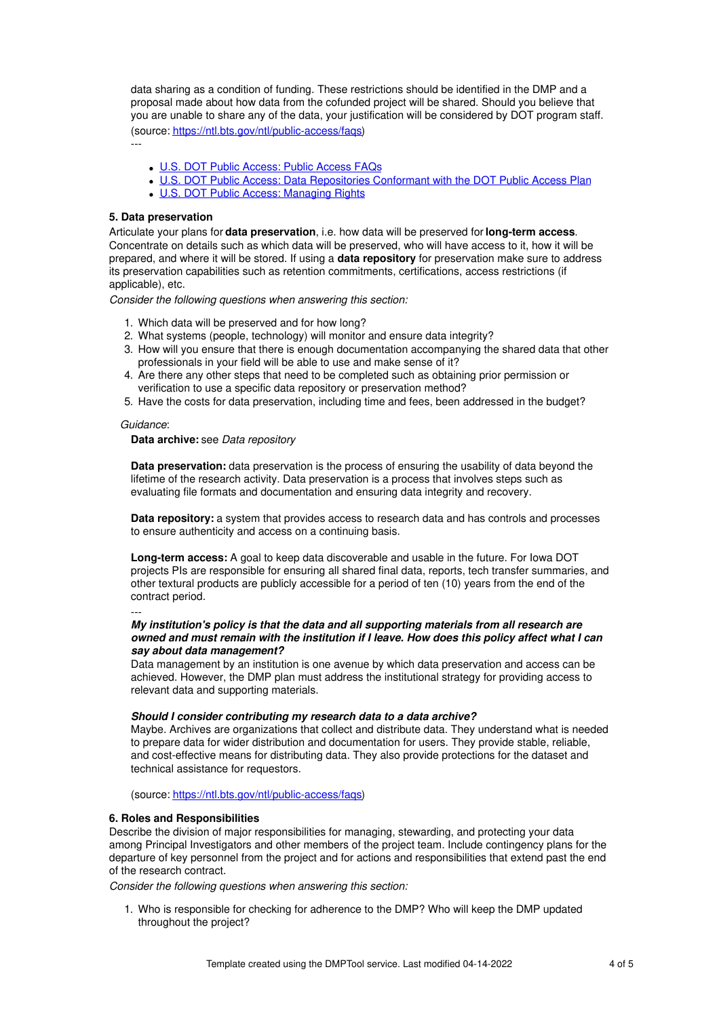data sharing as a condition of funding. These restrictions should be identified in the DMP and a proposal made about how data from the cofunded project will be shared. Should you believe that you are unable to share any of the data, your justification will be considered by DOT program staff. (source: <https://ntl.bts.gov/ntl/public-access/faqs>)

---

- U.S. DOT Public [Access:](https://ntl.bts.gov/ntl/public-access/faqs) Public Access FAQs
- U.S. DOT Public Access: Data [Repositories](https://doi.org/10.21949/1520563) Conformant with the DOT Public Access Plan
- U.S. DOT Public Access: [Managing](https://doi.org/10.21949/1520564) Rights

#### **5. Data preservation**

Articulate your plans for **data preservation**, i.e. how data will be preserved for **long-term access**. Concentrate on details such as which data will be preserved, who will have access to it, how it will be prepared, and where it will be stored. If using a **data repository** for preservation make sure to address its preservation capabilities such as retention commitments, certifications, access restrictions (if applicable), etc.

*Consider the following questions when answering this section:*

- 1. Which data will be preserved and for how long?
- 2. What systems (people, technology) will monitor and ensure data integrity?
- 3. How will you ensure that there is enough documentation accompanying the shared data that other professionals in your field will be able to use and make sense of it?
- 4. Are there any other steps that need to be completed such as obtaining prior permission or verification to use a specific data repository or preservation method?
- 5. Have the costs for data preservation, including time and fees, been addressed in the budget?

#### *Guidance*:

#### **Data archive:** see *Data repository*

**Data preservation:** data preservation is the process of ensuring the usability of data beyond the lifetime of the research activity. Data preservation is a process that involves steps such as evaluating file formats and documentation and ensuring data integrity and recovery.

**Data repository:** a system that provides access to research data and has controls and processes to ensure authenticity and access on a continuing basis.

**Long-term access:** A goal to keep data discoverable and usable in the future. For Iowa DOT projects PIs are responsible for ensuring all shared final data, reports, tech transfer summaries, and other textural products are publicly accessible for a period of ten (10) years from the end of the contract period.

---

### *My institution's policy is that the data and all supporting materials from all research are owned and must remain with the institution if I leave. How does this policy affect what I can say about data management?*

Data management by an institution is one avenue by which data preservation and access can be achieved. However, the DMP plan must address the institutional strategy for providing access to relevant data and supporting materials.

## *Should I consider contributing my research data to a data archive?*

Maybe. Archives are organizations that collect and distribute data. They understand what is needed to prepare data for wider distribution and documentation for users. They provide stable, reliable, and cost-effective means for distributing data. They also provide protections for the dataset and technical assistance for requestors.

(source: <https://ntl.bts.gov/ntl/public-access/faqs>)

# **6. Roles and Responsibilities**

Describe the division of major responsibilities for managing, stewarding, and protecting your data among Principal Investigators and other members of the project team. Include contingency plans for the departure of key personnel from the project and for actions and responsibilities that extend past the end of the research contract.

*Consider the following questions when answering this section:*

1. Who is responsible for checking for adherence to the DMP? Who will keep the DMP updated throughout the project?